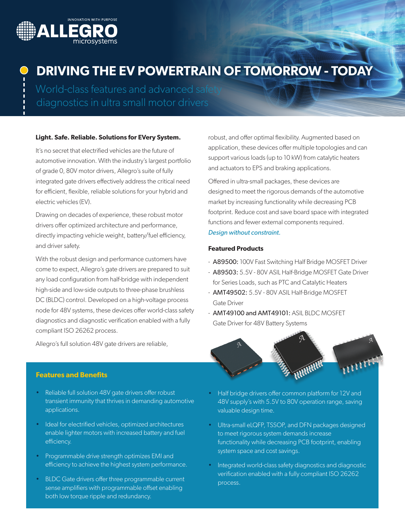

# **DRIVING THE EV POWERTRAIN OF TOMORROW - TODAY**

World-class features and advanced safety diagnostics in ultra small motor drivers

### **Light. Safe. Reliable. Solutions for EVery System.**

It's no secret that electrified vehicles are the future of automotive innovation. With the industry's largest portfolio of grade 0, 80V motor drivers, Allegro's suite of fully integrated gate drivers effectively address the critical need for efficient, flexible, reliable solutions for your hybrid and electric vehicles (EV).

Drawing on decades of experience, these robust motor drivers offer optimized architecture and performance, directly impacting vehicle weight, battery/fuel efficiency, and driver safety.

With the robust design and performance customers have come to expect, Allegro's gate drivers are prepared to suit any load configuration from half-bridge with independent high-side and low-side outputs to three-phase brushless DC (BLDC) control. Developed on a high-voltage process node for 48V systems, these devices offer world-class safety diagnostics and diagnostic verification enabled with a fully compliant ISO 26262 process.

Allegro's full solution 48V gate drivers are reliable,

**Features and Benefits**

- Reliable full solution 48V gate drivers offer robust transient immunity that thrives in demanding automotive applications.
- Ideal for electrified vehicles, optimized architectures enable lighter motors with increased battery and fuel efficiency.
- Programmable drive strength optimizes EMI and efficiency to achieve the highest system performance.
- BLDC Gate drivers offer three programmable current sense amplifiers with programmable offset enabling both low torque ripple and redundancy.

robust, and offer optimal flexibility. Augmented based on application, these devices offer multiple topologies and can support various loads (up to 10 kW) from catalytic heaters and actuators to EPS and braking applications.

Offered in ultra-small packages, these devices are designed to meet the rigorous demands of the automotive market by increasing functionality while decreasing PCB footprint. Reduce cost and save board space with integrated functions and fewer external components required. *Design without constraint.* 

#### **Featured Products**

- A89500: 100V Fast Switching Half Bridge MOSFET Driver
- A89503: 5.5V 80V ASIL Half-Bridge MOSFET Gate Driver for Series Loads, such as PTC and Catalytic Heaters
- AMT49502: 5.5V 80V ASIL Half-Bridge MOSFET Gate Driver
- AMT49100 and AMT49101: ASIL BLDC MOSFET Gate Driver for 48V Battery Systems



- Half bridge drivers offer common platform for 12V and 48V supply's with 5.5V to 80V operation range, saving valuable design time.
- Ultra-small eLQFP, TSSOP, and DFN packages designed to meet rigorous system demands increase functionality while decreasing PCB footprint, enabling system space and cost savings.
- Integrated world-class safety diagnostics and diagnostic verification enabled with a fully compliant ISO 26262 process.